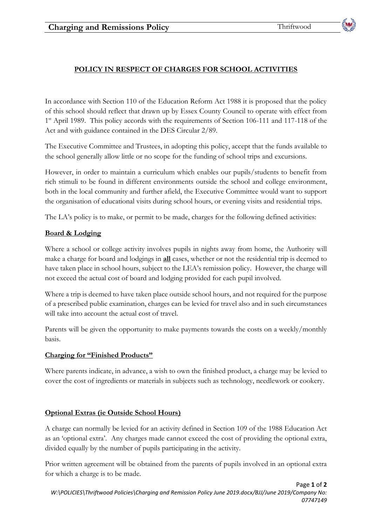# **POLICY IN RESPECT OF CHARGES FOR SCHOOL ACTIVITIES**

In accordance with Section 110 of the Education Reform Act 1988 it is proposed that the policy of this school should reflect that drawn up by Essex County Council to operate with effect from 1<sup>st</sup> April 1989. This policy accords with the requirements of Section 106-111 and 117-118 of the Act and with guidance contained in the DES Circular 2/89.

The Executive Committee and Trustees, in adopting this policy, accept that the funds available to the school generally allow little or no scope for the funding of school trips and excursions.

However, in order to maintain a curriculum which enables our pupils/students to benefit from rich stimuli to be found in different environments outside the school and college environment, both in the local community and further afield, the Executive Committee would want to support the organisation of educational visits during school hours, or evening visits and residential trips.

The LA's policy is to make, or permit to be made, charges for the following defined activities:

## **Board & Lodging**

Where a school or college activity involves pupils in nights away from home, the Authority will make a charge for board and lodgings in **all** cases, whether or not the residential trip is deemed to have taken place in school hours, subject to the LEA's remission policy. However, the charge will not exceed the actual cost of board and lodging provided for each pupil involved.

Where a trip is deemed to have taken place outside school hours, and not required for the purpose of a prescribed public examination, charges can be levied for travel also and in such circumstances will take into account the actual cost of travel.

Parents will be given the opportunity to make payments towards the costs on a weekly/monthly basis.

### **Charging for "Finished Products"**

Where parents indicate, in advance, a wish to own the finished product, a charge may be levied to cover the cost of ingredients or materials in subjects such as technology, needlework or cookery.

### **Optional Extras (ie Outside School Hours)**

A charge can normally be levied for an activity defined in Section 109 of the 1988 Education Act as an 'optional extra'. Any charges made cannot exceed the cost of providing the optional extra, divided equally by the number of pupils participating in the activity.

Prior written agreement will be obtained from the parents of pupils involved in an optional extra for which a charge is to be made.